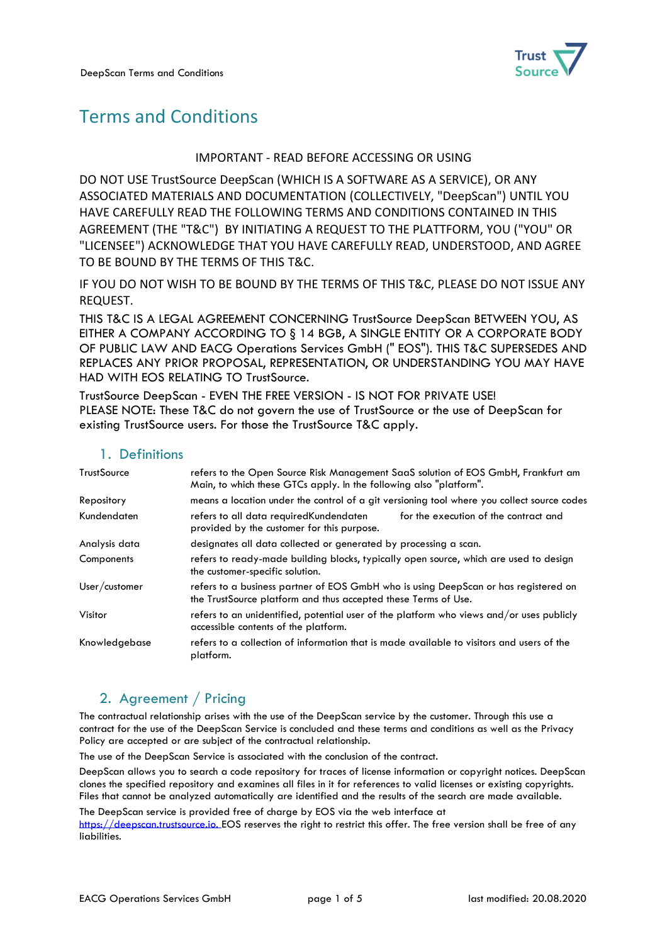

# Terms and Conditions

#### IMPORTANT - READ BEFORE ACCESSING OR USING

DO NOT USE TrustSource DeepScan (WHICH IS A SOFTWARE AS A SERVICE), OR ANY ASSOCIATED MATERIALS AND DOCUMENTATION (COLLECTIVELY, "DeepScan") UNTIL YOU HAVE CAREFULLY READ THE FOLLOWING TERMS AND CONDITIONS CONTAINED IN THIS AGREEMENT (THE "T&C") BY INITIATING A REQUEST TO THE PLATTFORM, YOU ("YOU" OR "LICENSEE") ACKNOWLEDGE THAT YOU HAVE CAREFULLY READ, UNDERSTOOD, AND AGREE TO BE BOUND BY THE TERMS OF THIS T&C.

IF YOU DO NOT WISH TO BE BOUND BY THE TERMS OF THIS T&C, PLEASE DO NOT ISSUE ANY REQUEST.

THIS T&C IS A LEGAL AGREEMENT CONCERNING TrustSource DeepScan BETWEEN YOU, AS EITHER A COMPANY ACCORDING TO § 14 BGB, A SINGLE ENTITY OR A CORPORATE BODY OF PUBLIC LAW AND EACG Operations Services GmbH (" EOS"). THIS T&C SUPERSEDES AND REPLACES ANY PRIOR PROPOSAL, REPRESENTATION, OR UNDERSTANDING YOU MAY HAVE HAD WITH EOS RELATING TO TrustSource.

TrustSource DeepScan - EVEN THE FREE VERSION - IS NOT FOR PRIVATE USE! PLEASE NOTE: These T&C do not govern the use of TrustSource or the use of DeepScan for existing TrustSource users. For those the TrustSource T&C apply.

#### 1. Definitions

| TrustSource   | refers to the Open Source Risk Management SaaS solution of EOS GmbH, Frankfurt am<br>Main, to which these GTCs apply. In the following also "platform". |
|---------------|---------------------------------------------------------------------------------------------------------------------------------------------------------|
| Repository    | means a location under the control of a git versioning tool where you collect source codes                                                              |
| Kundendaten   | for the execution of the contract and<br>refers to all data required Kundendaten<br>provided by the customer for this purpose.                          |
| Analysis data | designates all data collected or generated by processing a scan.                                                                                        |
| Components    | refers to ready-made building blocks, typically open source, which are used to design<br>the customer-specific solution.                                |
| User/customer | refers to a business partner of EOS GmbH who is using DeepScan or has registered on<br>the TrustSource platform and thus accepted these Terms of Use.   |
| Visitor       | refers to an unidentified, potential user of the platform who views and/or uses publicly<br>accessible contents of the platform.                        |
| Knowledgebase | refers to a collection of information that is made available to visitors and users of the<br>platform.                                                  |

# 2. Agreement / Pricing

The contractual relationship arises with the use of the DeepScan service by the customer. Through this use a contract for the use of the DeepScan Service is concluded and these terms and conditions as well as the Privacy Policy are accepted or are subject of the contractual relationship.

The use of the DeepScan Service is associated with the conclusion of the contract.

DeepScan allows you to search a code repository for traces of license information or copyright notices. DeepScan clones the specified repository and examines all files in it for references to valid licenses or existing copyrights. Files that cannot be analyzed automatically are identified and the results of the search are made available.

The DeepScan service is provided free of charge by EOS via the web interface at [https://deepscan.trustsource.io.](https://deepscan.trustsource.io/) EOS reserves the right to restrict this offer. The free version shall be free of any liabilities.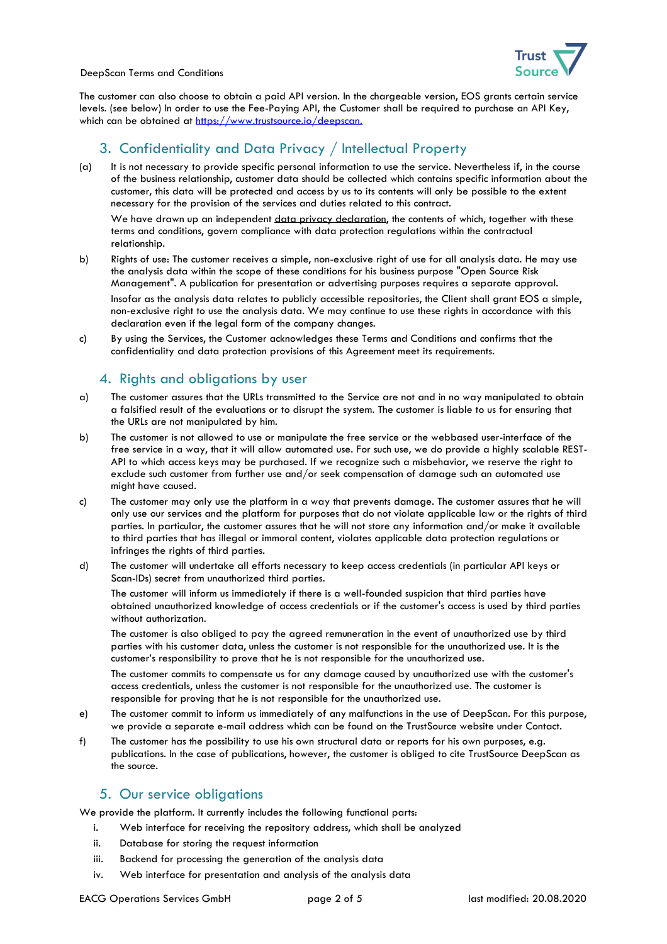

DeepScan Terms and Conditions

The customer can also choose to obtain a paid API version. In the chargeable version, EOS grants certain service levels. (see below) In order to use the Fee-Paying API, the Customer shall be required to purchase an API Key, which can be obtained at [https://www.trustsource.io/deepscan.](https://www.trustsource.io/deepscan)

# 3. Confidentiality and Data Privacy / Intellectual Property

(a) It is not necessary to provide specific personal information to use the service. Nevertheless if, in the course of the business relationship, customer data should be collected which contains specific information about the customer, this data will be protected and access by us to its contents will only be possible to the extent necessary for the provision of the services and duties related to this contract.

We have drawn up an independent data privacy [declaration,](https://www.trustsource.io/wp-content/uploads/2018/05/TS_1806_DataPrivacy_v3.pdf) the contents of which, together with these terms and conditions, govern compliance with data protection regulations within the contractual relationship.

- b) Rights of use: The customer receives a simple, non-exclusive right of use for all analysis data. He may use the analysis data within the scope of these conditions for his business purpose "Open Source Risk Management". A publication for presentation or advertising purposes requires a separate approval. Insofar as the analysis data relates to publicly accessible repositories, the Client shall grant EOS a simple, non-exclusive right to use the analysis data. We may continue to use these rights in accordance with this declaration even if the legal form of the company changes.
- c) By using the Services, the Customer acknowledges these Terms and Conditions and confirms that the confidentiality and data protection provisions of this Agreement meet its requirements.

# 4. Rights and obligations by user

- a) The customer assures that the URLs transmitted to the Service are not and in no way manipulated to obtain a falsified result of the evaluations or to disrupt the system. The customer is liable to us for ensuring that the URLs are not manipulated by him.
- b) The customer is not allowed to use or manipulate the free service or the webbased user-interface of the free service in a way, that it will allow automated use. For such use, we do provide a highly scalable REST-API to which access keys may be purchased. If we recognize such a misbehavior, we reserve the right to exclude such customer from further use and/or seek compensation of damage such an automated use might have caused.
- c) The customer may only use the platform in a way that prevents damage. The customer assures that he will only use our services and the platform for purposes that do not violate applicable law or the rights of third parties. In particular, the customer assures that he will not store any information and/or make it available to third parties that has illegal or immoral content, violates applicable data protection regulations or infringes the rights of third parties.
- d) The customer will undertake all efforts necessary to keep access credentials (in particular API keys or Scan-IDs) secret from unauthorized third parties.

The customer will inform us immediately if there is a well-founded suspicion that third parties have obtained unauthorized knowledge of access credentials or if the customer's access is used by third parties without authorization.

The customer is also obliged to pay the agreed remuneration in the event of unauthorized use by third parties with his customer data, unless the customer is not responsible for the unauthorized use. It is the customer's responsibility to prove that he is not responsible for the unauthorized use.

The customer commits to compensate us for any damage caused by unauthorized use with the customer's access credentials, unless the customer is not responsible for the unauthorized use. The customer is responsible for proving that he is not responsible for the unauthorized use.

- e) The customer commit to inform us immediately of any malfunctions in the use of DeepScan. For this purpose, we provide a separate e-mail address which can be found on the TrustSource website under Contact.
- f) The customer has the possibility to use his own structural data or reports for his own purposes, e.g. publications. In the case of publications, however, the customer is obliged to cite TrustSource DeepScan as the source.

# 5. Our service obligations

We provide the platform. It currently includes the following functional parts:

- i. Web interface for receiving the repository address, which shall be analyzed
- ii. Database for storing the request information
- iii. Backend for processing the generation of the analysis data
- iv. Web interface for presentation and analysis of the analysis data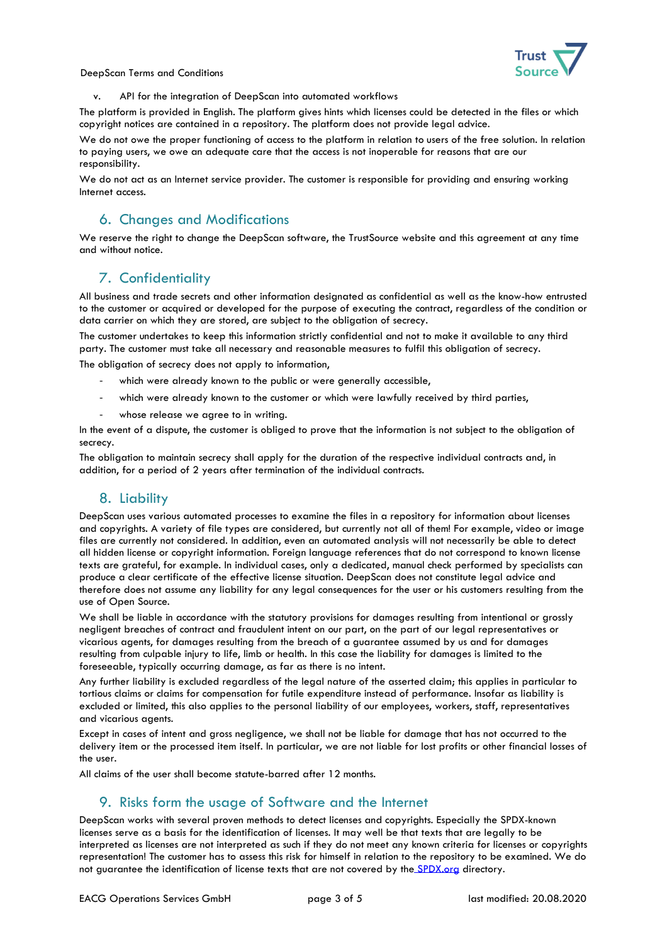

#### DeepScan Terms and Conditions

v. API for the integration of DeepScan into automated workflows

The platform is provided in English. The platform gives hints which licenses could be detected in the files or which copyright notices are contained in a repository. The platform does not provide legal advice.

We do not owe the proper functioning of access to the platform in relation to users of the free solution. In relation to paying users, we owe an adequate care that the access is not inoperable for reasons that are our responsibility.

We do not act as an Internet service provider. The customer is responsible for providing and ensuring working Internet access.

### 6. Changes and Modifications

We reserve the right to change the DeepScan software, the TrustSource website and this agreement at any time and without notice.

# 7. Confidentiality

All business and trade secrets and other information designated as confidential as well as the know-how entrusted to the customer or acquired or developed for the purpose of executing the contract, regardless of the condition or data carrier on which they are stored, are subject to the obligation of secrecy.

The customer undertakes to keep this information strictly confidential and not to make it available to any third party. The customer must take all necessary and reasonable measures to fulfil this obligation of secrecy.

The obligation of secrecy does not apply to information,

- which were already known to the public or were generally accessible,
- which were already known to the customer or which were lawfully received by third parties,
- whose release we agree to in writing.

In the event of a dispute, the customer is obliged to prove that the information is not subject to the obligation of secrecy.

The obligation to maintain secrecy shall apply for the duration of the respective individual contracts and, in addition, for a period of 2 years after termination of the individual contracts.

#### 8. Liability

DeepScan uses various automated processes to examine the files in a repository for information about licenses and copyrights. A variety of file types are considered, but currently not all of them! For example, video or image files are currently not considered. In addition, even an automated analysis will not necessarily be able to detect all hidden license or copyright information. Foreign language references that do not correspond to known license texts are grateful, for example. In individual cases, only a dedicated, manual check performed by specialists can produce a clear certificate of the effective license situation. DeepScan does not constitute legal advice and therefore does not assume any liability for any legal consequences for the user or his customers resulting from the use of Open Source.

We shall be liable in accordance with the statutory provisions for damages resulting from intentional or grossly negligent breaches of contract and fraudulent intent on our part, on the part of our legal representatives or vicarious agents, for damages resulting from the breach of a guarantee assumed by us and for damages resulting from culpable injury to life, limb or health. In this case the liability for damages is limited to the foreseeable, typically occurring damage, as far as there is no intent.

Any further liability is excluded regardless of the legal nature of the asserted claim; this applies in particular to tortious claims or claims for compensation for futile expenditure instead of performance. Insofar as liability is excluded or limited, this also applies to the personal liability of our employees, workers, staff, representatives and vicarious agents.

Except in cases of intent and gross negligence, we shall not be liable for damage that has not occurred to the delivery item or the processed item itself. In particular, we are not liable for lost profits or other financial losses of the user.

All claims of the user shall become statute-barred after 12 months.

#### 9. Risks form the usage of Software and the Internet

DeepScan works with several proven methods to detect licenses and copyrights. Especially the SPDX-known licenses serve as a basis for the identification of licenses. It may well be that texts that are legally to be interpreted as licenses are not interpreted as such if they do not meet any known criteria for licenses or copyrights representation! The customer has to assess this risk for himself in relation to the repository to be examined. We do not guarantee the identification of license texts that are not covered by the [SPDX.org](http://spdx.org/) directory.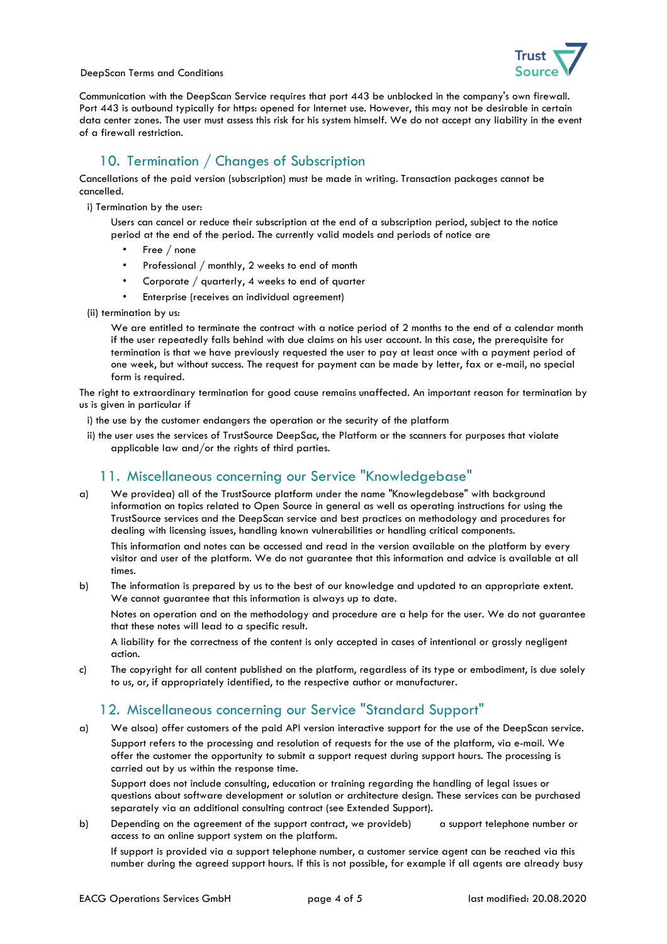

DeepScan Terms and Conditions

Communication with the DeepScan Service requires that port 443 be unblocked in the company's own firewall. Port 443 is outbound typically for https: opened for Internet use. However, this may not be desirable in certain data center zones. The user must assess this risk for his system himself. We do not accept any liability in the event of a firewall restriction.

# 10. Termination / Changes of Subscription

Cancellations of the paid version (subscription) must be made in writing. Transaction packages cannot be cancelled.

i) Termination by the user:

Users can cancel or reduce their subscription at the end of a subscription period, subject to the notice period at the end of the period. The currently valid models and periods of notice are

- Free / none
- Professional / monthly, 2 weeks to end of month
- Corporate / quarterly, 4 weeks to end of quarter
- Enterprise (receives an individual agreement)
- (ii) termination by us:

We are entitled to terminate the contract with a notice period of 2 months to the end of a calendar month if the user repeatedly falls behind with due claims on his user account. In this case, the prerequisite for termination is that we have previously requested the user to pay at least once with a payment period of one week, but without success. The request for payment can be made by letter, fax or e-mail, no special form is required.

The right to extraordinary termination for good cause remains unaffected. An important reason for termination by us is given in particular if

- i) the use by the customer endangers the operation or the security of the platform
- ii) the user uses the services of TrustSource DeepSac, the Platform or the scanners for purposes that violate applicable law and/or the rights of third parties.

# 11. Miscellaneous concerning our Service "Knowledgebase"

a) We providea) all of the TrustSource platform under the name "Knowlegdebase" with background information on topics related to Open Source in general as well as operating instructions for using the TrustSource services and the DeepScan service and best practices on methodology and procedures for dealing with licensing issues, handling known vulnerabilities or handling critical components.

This information and notes can be accessed and read in the version available on the platform by every visitor and user of the platform. We do not guarantee that this information and advice is available at all times.

b) The information is prepared by us to the best of our knowledge and updated to an appropriate extent. We cannot guarantee that this information is always up to date.

Notes on operation and on the methodology and procedure are a help for the user. We do not guarantee that these notes will lead to a specific result.

A liability for the correctness of the content is only accepted in cases of intentional or grossly negligent action.

c) The copyright for all content published on the platform, regardless of its type or embodiment, is due solely to us, or, if appropriately identified, to the respective author or manufacturer.

# 12. Miscellaneous concerning our Service "Standard Support"

a) We alsoa) offer customers of the paid API version interactive support for the use of the DeepScan service.

Support refers to the processing and resolution of requests for the use of the platform, via e-mail. We offer the customer the opportunity to submit a support request during support hours. The processing is carried out by us within the response time.

Support does not include consulting, education or training regarding the handling of legal issues or questions about software development or solution or architecture design. These services can be purchased separately via an additional consulting contract (see Extended Support).

b) Depending on the agreement of the support contract, we provideb) a support telephone number or access to an online support system on the platform.

If support is provided via a support telephone number, a customer service agent can be reached via this number during the agreed support hours. If this is not possible, for example if all agents are already busy